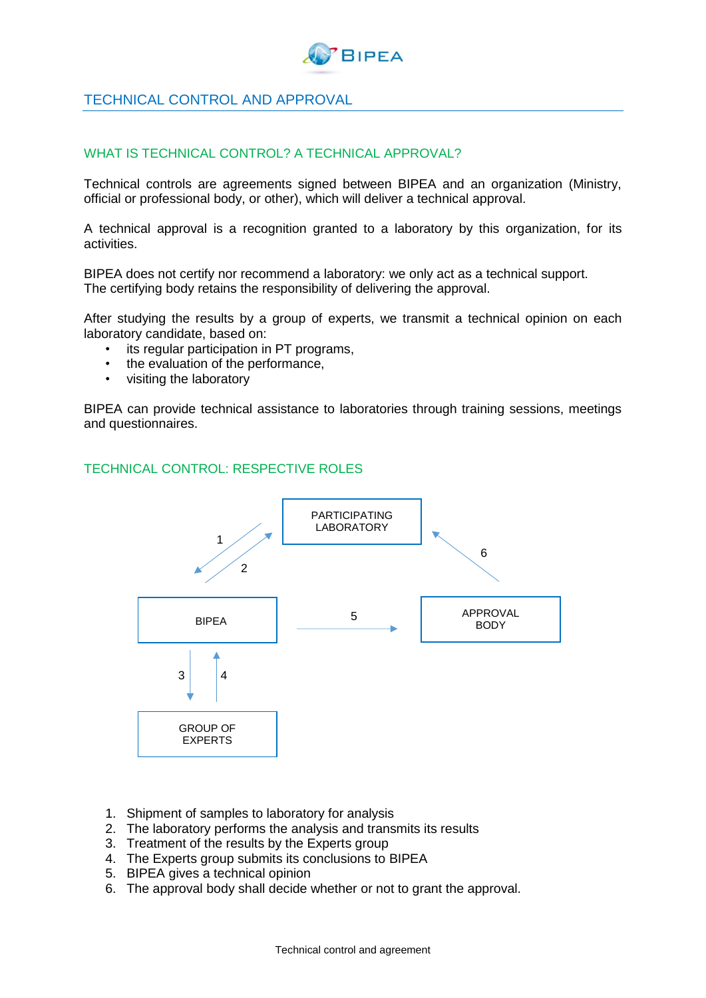

## TECHNICAL CONTROL AND APPROVAL

## WHAT IS TECHNICAL CONTROL? A TECHNICAL APPROVAL?

Technical controls are agreements signed between BIPEA and an organization (Ministry, official or professional body, or other), which will deliver a technical approval.

A technical approval is a recognition granted to a laboratory by this organization, for its activities.

BIPEA does not certify nor recommend a laboratory: we only act as a technical support. The certifying body retains the responsibility of delivering the approval.

After studying the results by a group of experts, we transmit a technical opinion on each laboratory candidate, based on:

- its regular participation in PT programs,
- the evaluation of the performance,
- visiting the laboratory

BIPEA can provide technical assistance to laboratories through training sessions, meetings and questionnaires.

## TECHNICAL CONTROL: RESPECTIVE ROLES



- 1. Shipment of samples to laboratory for analysis
- 2. The laboratory performs the analysis and transmits its results
- 3. Treatment of the results by the Experts group
- 4. The Experts group submits its conclusions to BIPEA
- 5. BIPEA gives a technical opinion
- 6. The approval body shall decide whether or not to grant the approval.